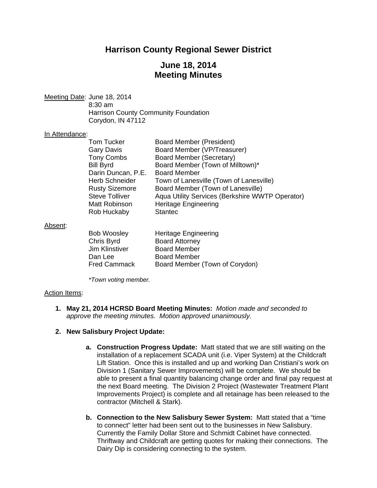# **Harrison County Regional Sewer District**

# **June 18, 2014 Meeting Minutes**

Meeting Date: June 18, 2014 8:30 am Harrison County Community Foundation Corydon, IN 47112

#### In Attendance:

| <b>Tom Tucker</b>     | <b>Board Member (President)</b>                 |
|-----------------------|-------------------------------------------------|
| <b>Gary Davis</b>     | Board Member (VP/Treasurer)                     |
| <b>Tony Combs</b>     | Board Member (Secretary)                        |
| <b>Bill Byrd</b>      | Board Member (Town of Milltown)*                |
| Darin Duncan, P.E.    | <b>Board Member</b>                             |
| <b>Herb Schneider</b> | Town of Lanesville (Town of Lanesville)         |
| <b>Rusty Sizemore</b> | Board Member (Town of Lanesville)               |
| <b>Steve Tolliver</b> | Aqua Utility Services (Berkshire WWTP Operator) |
| Matt Robinson         | <b>Heritage Engineering</b>                     |
| Rob Huckaby           | <b>Stantec</b>                                  |
|                       |                                                 |

#### Absent:

| <b>Bob Woosley</b>  | <b>Heritage Engineering</b>    |
|---------------------|--------------------------------|
| Chris Byrd          | <b>Board Attorney</b>          |
| Jim Klinstiver      | <b>Board Member</b>            |
| Dan Lee             | <b>Board Member</b>            |
| <b>Fred Cammack</b> | Board Member (Town of Corydon) |

 *\*Town voting member.* 

#### Action Items:

**1. May 21, 2014 HCRSD Board Meeting Minutes:** *Motion made and seconded to approve the meeting minutes. Motion approved unanimously.* 

#### **2. New Salisbury Project Update:**

- **a. Construction Progress Update:** Matt stated that we are still waiting on the installation of a replacement SCADA unit (i.e. Viper System) at the Childcraft Lift Station. Once this is installed and up and working Dan Cristiani's work on Division 1 (Sanitary Sewer Improvements) will be complete. We should be able to present a final quantity balancing change order and final pay request at the next Board meeting. The Division 2 Project (Wastewater Treatment Plant Improvements Project) is complete and all retainage has been released to the contractor (Mitchell & Stark).
- **b. Connection to the New Salisbury Sewer System:** Matt stated that a "time to connect" letter had been sent out to the businesses in New Salisbury. Currently the Family Dollar Store and Schmidt Cabinet have connected. Thriftway and Childcraft are getting quotes for making their connections. The Dairy Dip is considering connecting to the system.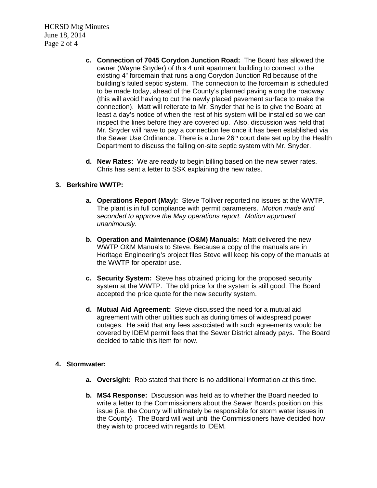HCRSD Mtg Minutes June 18, 2014 Page 2 of 4

- **c. Connection of 7045 Corydon Junction Road:** The Board has allowed the owner (Wayne Snyder) of this 4 unit apartment building to connect to the existing 4" forcemain that runs along Corydon Junction Rd because of the building's failed septic system. The connection to the forcemain is scheduled to be made today, ahead of the County's planned paving along the roadway (this will avoid having to cut the newly placed pavement surface to make the connection). Matt will reiterate to Mr. Snyder that he is to give the Board at least a day's notice of when the rest of his system will be installed so we can inspect the lines before they are covered up. Also, discussion was held that Mr. Snyder will have to pay a connection fee once it has been established via the Sewer Use Ordinance. There is a June 26<sup>th</sup> court date set up by the Health Department to discuss the failing on-site septic system with Mr. Snyder.
- **d. New Rates:** We are ready to begin billing based on the new sewer rates. Chris has sent a letter to SSK explaining the new rates.

### **3. Berkshire WWTP:**

- **a. Operations Report (May):** Steve Tolliver reported no issues at the WWTP. The plant is in full compliance with permit parameters. *Motion made and seconded to approve the May operations report. Motion approved unanimously.*
- **b. Operation and Maintenance (O&M) Manuals:** Matt delivered the new WWTP O&M Manuals to Steve. Because a copy of the manuals are in Heritage Engineering's project files Steve will keep his copy of the manuals at the WWTP for operator use.
- **c. Security System:** Steve has obtained pricing for the proposed security system at the WWTP. The old price for the system is still good. The Board accepted the price quote for the new security system.
- **d. Mutual Aid Agreement:** Steve discussed the need for a mutual aid agreement with other utilities such as during times of widespread power outages. He said that any fees associated with such agreements would be covered by IDEM permit fees that the Sewer District already pays. The Board decided to table this item for now.

#### **4. Stormwater:**

- **a. Oversight:** Rob stated that there is no additional information at this time.
- **b. MS4 Response:** Discussion was held as to whether the Board needed to write a letter to the Commissioners about the Sewer Boards position on this issue (i.e. the County will ultimately be responsible for storm water issues in the County). The Board will wait until the Commissioners have decided how they wish to proceed with regards to IDEM.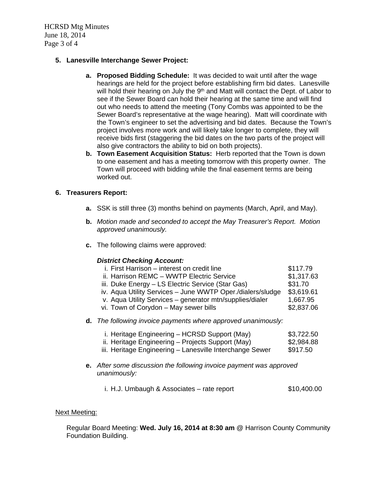HCRSD Mtg Minutes June 18, 2014 Page 3 of 4

# **5. Lanesville Interchange Sewer Project:**

- **a. Proposed Bidding Schedule:** It was decided to wait until after the wage hearings are held for the project before establishing firm bid dates. Lanesville will hold their hearing on July the 9<sup>th</sup> and Matt will contact the Dept. of Labor to see if the Sewer Board can hold their hearing at the same time and will find out who needs to attend the meeting (Tony Combs was appointed to be the Sewer Board's representative at the wage hearing). Matt will coordinate with the Town's engineer to set the advertising and bid dates. Because the Town's project involves more work and will likely take longer to complete, they will receive bids first (staggering the bid dates on the two parts of the project will also give contractors the ability to bid on both projects).
- **b. Town Easement Acquisition Status:** Herb reported that the Town is down to one easement and has a meeting tomorrow with this property owner. The Town will proceed with bidding while the final easement terms are being worked out.

# **6. Treasurers Report:**

- **a.** SSK is still three (3) months behind on payments (March, April, and May).
- **b.** *Motion made and seconded to accept the May Treasurer's Report. Motion approved unanimously.*
- **c.** The following claims were approved:

# *District Checking Account:*

| i. First Harrison – interest on credit line                | \$117.79   |
|------------------------------------------------------------|------------|
| ii. Harrison REMC - WWTP Electric Service                  | \$1,317.63 |
| iii. Duke Energy – LS Electric Service (Star Gas)          | \$31.70    |
| iv. Aqua Utility Services - June WWTP Oper./dialers/sludge | \$3,619.61 |
| v. Aqua Utility Services - generator mtn/supplies/dialer   | 1,667.95   |
| vi. Town of Corydon - May sewer bills                      | \$2,837.06 |
|                                                            |            |

**d.** *The following invoice payments where approved unanimously:* 

| i. Heritage Engineering – HCRSD Support (May) | \$3,722.50 |
|-----------------------------------------------|------------|
|-----------------------------------------------|------------|

ii. Heritage Engineering – Projects Support (May) \$2,984.88

iii. Heritage Engineering – Lanesville Interchange Sewer \$917.50

- **e.** *After some discussion the following invoice payment was approved unanimously:*
	- i. H.J. Umbaugh & Associates rate report \$10,400.00

#### Next Meeting:

Regular Board Meeting: **Wed. July 16, 2014 at 8:30 am** @ Harrison County Community Foundation Building.